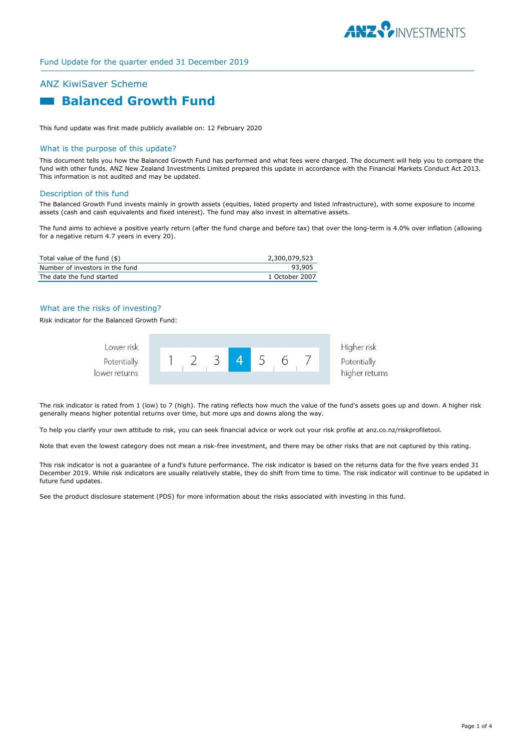

# ANZ KiwiSaver Scheme  **Balanced Growth Fund**

This fund update was first made publicly available on: 12 February 2020

#### What is the purpose of this update?

This document tells you how the Balanced Growth Fund has performed and what fees were charged. The document will help you to compare the fund with other funds. ANZ New Zealand Investments Limited prepared this update in accordance with the Financial Markets Conduct Act 2013. This information is not audited and may be updated.

#### Description of this fund

The Balanced Growth Fund invests mainly in growth assets (equities, listed property and listed infrastructure), with some exposure to income assets (cash and cash equivalents and fixed interest). The fund may also invest in alternative assets.

The fund aims to achieve a positive yearly return (after the fund charge and before tax) that over the long-term is 4.0% over inflation (allowing for a negative return 4.7 years in every 20).

| Total value of the fund (\$)    | 2,300,079,523  |
|---------------------------------|----------------|
| Number of investors in the fund | 93.905         |
| The date the fund started       | 1 October 2007 |

#### What are the risks of investing?

Risk indicator for the Balanced Growth Fund:



The risk indicator is rated from 1 (low) to 7 (high). The rating reflects how much the value of the fund's assets goes up and down. A higher risk generally means higher potential returns over time, but more ups and downs along the way.

To help you clarify your own attitude to risk, you can seek financial advice or work out your risk profile at anz.co.nz/riskprofiletool.

Note that even the lowest category does not mean a risk-free investment, and there may be other risks that are not captured by this rating.

This risk indicator is not a guarantee of a fund's future performance. The risk indicator is based on the returns data for the five years ended 31 December 2019. While risk indicators are usually relatively stable, they do shift from time to time. The risk indicator will continue to be updated in future fund updates.

See the product disclosure statement (PDS) for more information about the risks associated with investing in this fund.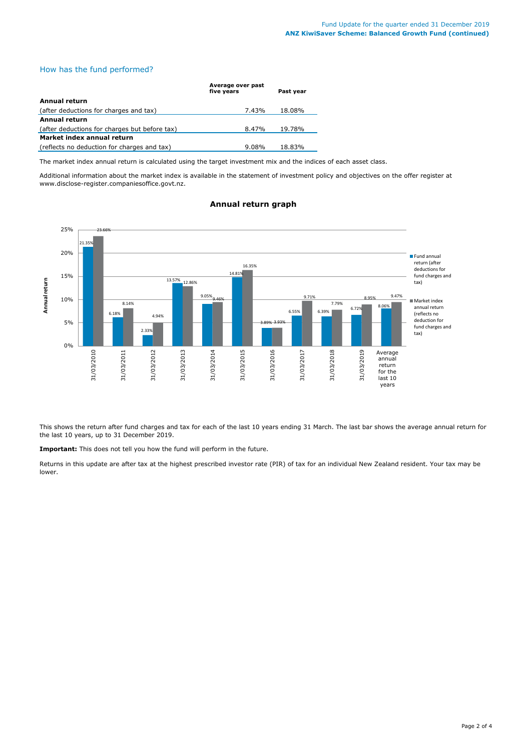## How has the fund performed?

|                                               | Average over past<br>five vears | Past vear |  |  |
|-----------------------------------------------|---------------------------------|-----------|--|--|
| Annual return                                 |                                 |           |  |  |
| (after deductions for charges and tax)        | 7.43%                           | 18.08%    |  |  |
| Annual return                                 |                                 |           |  |  |
| (after deductions for charges but before tax) | 8.47%                           | 19.78%    |  |  |
| Market index annual return                    |                                 |           |  |  |
| (reflects no deduction for charges and tax)   | $9.08\%$                        | 18.83%    |  |  |

The market index annual return is calculated using the target investment mix and the indices of each asset class.

Additional information about the market index is available in the statement of investment policy and objectives on the offer register at www.disclose-register.companiesoffice.govt.nz.

#### 21.35% 6.18% 2.33% 13.57% 9.05% 14.81% 3.89% 6.55% 6.39%  $6.72\%$   $8.06%$ 23.66% 8.14% 4.94% 12.86% 9.46% 16.35% 3.93% 9.71% 7.79% 8.95% 9.47% 0% 5% 10% 15% 20% 25% 31/03/2010 31/03/2011 31/03/2012 31/03/2013 31/03/2014 31/03/2015 31/03/2016 31/03/2017 31/03/2018 31/03/2019 . Average **Annual return** Fund annual return (after deductions for fund charges and tax) Market index annual return (reflects no deduction for fund charges and tax) annual return for the last 10 years

## **Annual return graph**

This shows the return after fund charges and tax for each of the last 10 years ending 31 March. The last bar shows the average annual return for the last 10 years, up to 31 December 2019.

**Important:** This does not tell you how the fund will perform in the future.

Returns in this update are after tax at the highest prescribed investor rate (PIR) of tax for an individual New Zealand resident. Your tax may be lower.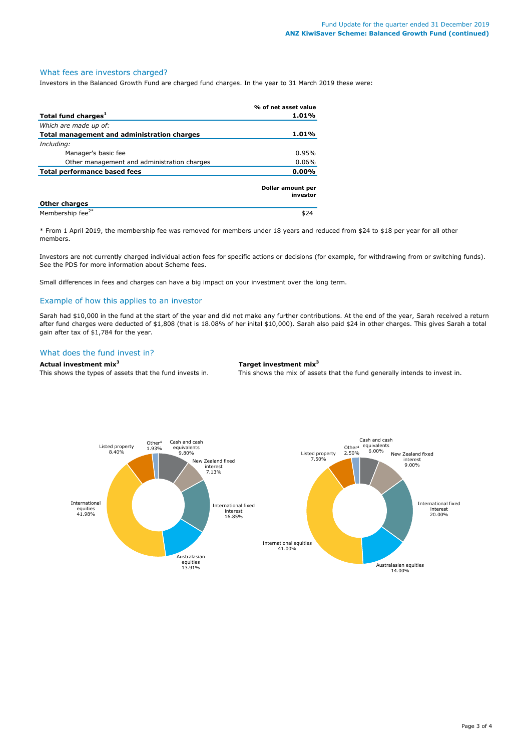#### What fees are investors charged?

Investors in the Balanced Growth Fund are charged fund charges. In the year to 31 March 2019 these were:

|                                             | % of net asset value          |  |
|---------------------------------------------|-------------------------------|--|
| Total fund charges <sup>1</sup>             | 1.01%                         |  |
| Which are made up of:                       |                               |  |
| Total management and administration charges | 1.01%                         |  |
| Including:                                  |                               |  |
| Manager's basic fee                         | 0.95%                         |  |
| Other management and administration charges | $0.06\%$                      |  |
| Total performance based fees                | $0.00\%$                      |  |
|                                             | Dollar amount per<br>investor |  |
| <b>Other charges</b>                        |                               |  |
| Membership fee <sup>2*</sup>                | \$24                          |  |

\* From 1 April 2019, the membership fee was removed for members under 18 years and reduced from \$24 to \$18 per year for all other members.

Investors are not currently charged individual action fees for specific actions or decisions (for example, for withdrawing from or switching funds). See the PDS for more information about Scheme fees.

Small differences in fees and charges can have a big impact on your investment over the long term.

#### Example of how this applies to an investor

Sarah had \$10,000 in the fund at the start of the year and did not make any further contributions. At the end of the year, Sarah received a return after fund charges were deducted of \$1,808 (that is 18.08% of her inital \$10,000). Sarah also paid \$24 in other charges. This gives Sarah a total gain after tax of \$1,784 for the year.

#### What does the fund invest in?

**Actual investment mix<sup>3</sup> Target investment mix<sup>3</sup>**

This shows the types of assets that the fund invests in. This shows the mix of assets that the fund generally intends to invest in.